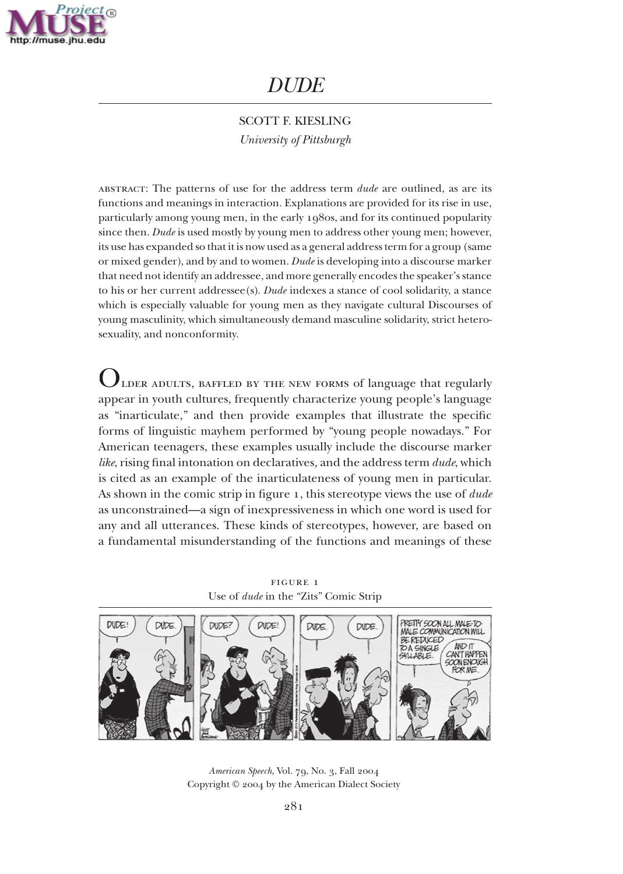

# *DUDE*

SCOTT F. KIESLING *University of Pittsburgh*

abstract: The patterns of use for the address term *dude* are outlined, as are its functions and meanings in interaction. Explanations are provided for its rise in use, particularly among young men, in the early 1980s, and for its continued popularity since then. *Dude* is used mostly by young men to address other young men; however, its use has expanded so that it is now used as a general address term for a group (same or mixed gender), and by and to women. *Dude* is developing into a discourse marker that need not identify an addressee, and more generally encodes the speaker's stance to his or her current addressee(s). *Dude* indexes a stance of cool solidarity, a stance which is especially valuable for young men as they navigate cultural Discourses of young masculinity, which simultaneously demand masculine solidarity, strict heterosexuality, and nonconformity.

LDER ADULTS, BAFFLED BY THE NEW FORMS of language that regularly appear in youth cultures, frequently characterize young people's language as "inarticulate," and then provide examples that illustrate the specific forms of linguistic mayhem performed by "young people nowadays." For American teenagers, these examples usually include the discourse marker *like*, rising final intonation on declaratives*,* and the address term *dude*, which is cited as an example of the inarticulateness of young men in particular. As shown in the comic strip in figure 1, this stereotype views the use of *dude* as unconstrained—a sign of inexpressiveness in which one word is used for any and all utterances. These kinds of stereotypes, however, are based on a fundamental misunderstanding of the functions and meanings of these

figure 1 Use of *dude* in the "Zits" Comic Strip



*American Speech*, Vol. 79, No. 3, Fall 2004 Copyright © 2004 by the American Dialect Society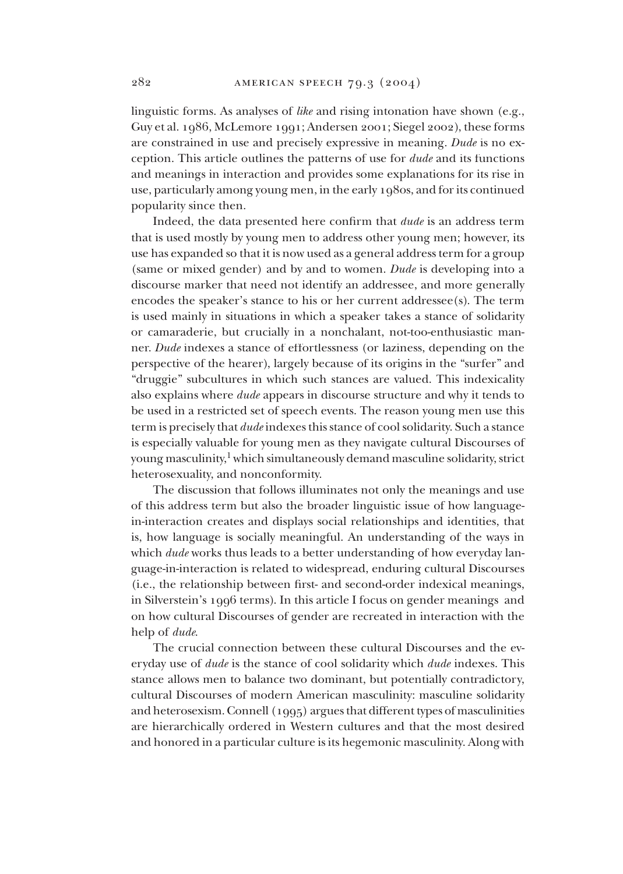linguistic forms. As analyses of *like* and rising intonation have shown (e.g., Guy et al. 1986, McLemore 1991; Andersen 2001; Siegel 2002), these forms are constrained in use and precisely expressive in meaning. *Dude* is no excep tion. This article outlines the patterns of use for *dude* and its functions and meanings in interaction and provides some explanations for its rise in use, particularly among young men, in the early 1980s, and for its continued popularity since then.

Indeed, the data presented here confirm that *dude* is an address term that is used mostly by young men to address other young men; however, its use has expanded so that it is now used as a general address term for a group (same or mixed gender) and by and to women. *Dude* is developing into a discourse marker that need not identify an addressee, and more generally encodes the speaker's stance to his or her current addressee(s). The term is used mainly in situations in which a speaker takes a stance of solidarity or camaraderie, but crucially in a nonchalant, not-too-enthusiastic manner. *Dude* indexes a stance of effortlessness (or laziness, depending on the perspective of the hearer), largely because of its origins in the "surfer" and "druggie" subcultures in which such stances are valued. This indexicality also explains where *dude* appears in discourse structure and why it tends to be used in a restricted set of speech events. The reason young men use this term is precisely that *dude* indexes this stance of cool solidarity. Such a stance is especially valuable for young men as they navigate cultural Discourses of young masculinity, <sup>1</sup> which simultaneously demand masculine solidarity, strict heterosexuality, and nonconformity.

The discussion that follows illuminates not only the meanings and use of this address term but also the broader linguistic issue of how languagein-interaction creates and displays social relationships and identities, that is, how language is socially meaningful. An understanding of the ways in which *dude* works thus leads to a better understanding of how everyday language-in-interaction is related to widespread, enduring cultural Discourses (i.e., the relationship between first- and second-order indexical meanings, in Silverstein's 1996 terms). In this article I focus on gender mean ings and on how cultural Discourses of gender are recreated in interaction with the help of *dude*.

The crucial connection between these cultural Discourses and the everyday use of *dude* is the stance of cool solidarity which *dude* indexes. This stance allows men to balance two dominant, but potentially contradictory, cultural Discourses of modern American masculinity: masculine solidarity and heterosexism. Connell (1995) argues that different types of masculinities are hierarchically ordered in Western cultures and that the most desired and hon ored in a particular culture is its hegemonic masculinity. Along with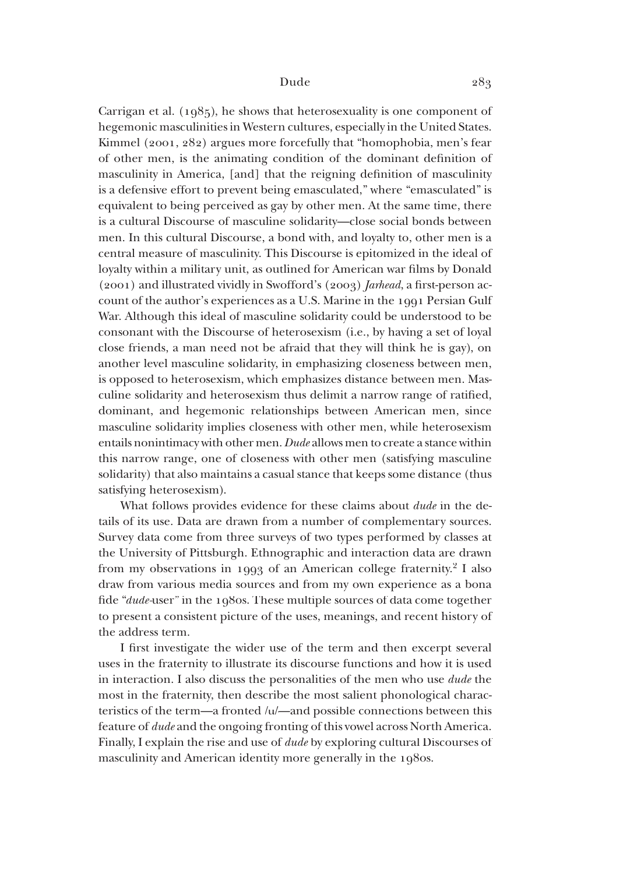Carrigan et al. (1985), he shows that heterosexuality is one component of hegemonic masculinities in Western cultures, especially in the United States. Kimmel (2001, 282) argues more forcefully that "homophobia, men's fear of other men, is the animating condition of the dominant definition of masculinity in America, [and] that the reigning definition of masculinity is a defensive effort to prevent being emasculated," where "emasculated" is equivalent to being perceived as gay by other men. At the same time, there is a cultural Discourse of masculine solidarity—close social bonds between men. In this cultural Discourse, a bond with, and loyalty to, other men is a central measure of masculinity. This Discourse is epitomized in the ideal of loyalty within a military unit, as outlined for American war films by Donald (2001) and illustrated vividly in Swofford's (2003) *Jarhead*, a first-person account of the author's experiences as a U.S. Marine in the 1991 Persian Gulf War. Although this ideal of masculine solidarity could be understood to be consonant with the Discourse of heterosexism (i.e., by having a set of loyal close friends, a man need not be afraid that they will think he is gay), on another level masculine solidarity, in emphasizing closeness between men, is opposed to heterosexism, which emphasizes distance between men. Masculine solidarity and heterosexism thus delimit a narrow range of ratified, dominant, and hegemonic relationships between American men, since masculine solidarity implies closeness with other men, while heterosexism entails nonintimacy with other men. *Dude* allows men to create a stance within this narrow range, one of closeness with other men (satisfying masculine solidarity) that also maintains a casual stance that keeps some distance (thus satisfying heterosexism).

What follows provides evidence for these claims about *dude* in the details of its use. Data are drawn from a number of complementary sources. Survey data come from three surveys of two types performed by classes at the University of Pittsburgh. Ethnographic and interaction data are drawn from my observations in 1993 of an American college fraternity. <sup>2</sup> I also draw from various media sources and from my own experience as a bona fide "*dude-*user" in the 1980s. These multiple sources of data come together to present a consistent picture of the uses, meanings, and recent history of the address term.

I first investigate the wider use of the term and then excerpt several uses in the fraternity to illustrate its discourse functions and how it is used in interaction. I also discuss the personalities of the men who use *dude* the most in the fraternity, then describe the most salient phonological characteristics of the term—a fronted  $/u$ —and possible connections between this feature of *dude* and the ongoing fronting of this vowel across North America. Finally, I explain the rise and use of *dude* by exploring cultural Discourses of masculinity and American identity more generally in the 1980s.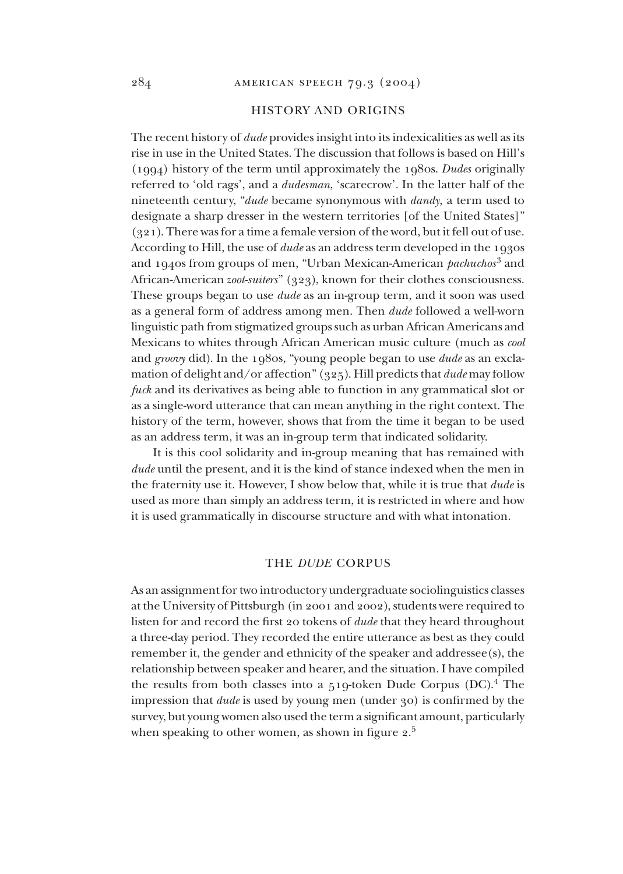# HISTORY AND ORIGINS

The recent history of *dude* provides insight into its indexicalities as well as its rise in use in the United States. The discussion that follows is based on Hill's (1994) history of the term until approximately the 1980s. *Dudes* originally referred to 'old rags', and a *dudesman*, 'scarecrow'. In the latter half of the nineteenth century, "*dude* became synonymous with *dandy*, a term used to designate a sharp dresser in the western territories [of the United States]" (321). There was for a time a female version of the word, but it fell out of use. According to Hill, the use of *dude* as an address term developed in the 1930s and 1940s from groups of men, "Urban Mexican-American *pachuchos*<sup>3</sup> and African-American *zoot-suiters*" (323), known for their clothes consciousness. These groups began to use *dude* as an in-group term, and it soon was used as a general form of address among men. Then *dude* followed a well-worn linguistic path from stigmatized groups such as urban African Americans and Mexicans to whites through African American music culture (much as *cool* and *groovy* did). In the 1980s, "young people began to use *dude* as an exclamation of delight and/or affection" (325). Hill predicts that *dude* may follow *fuck* and its derivatives as being able to function in any grammatical slot or as a single-word utterance that can mean anything in the right context. The history of the term, however, shows that from the time it began to be used as an address term, it was an in-group term that indicated solidarity.

It is this cool solidarity and in-group meaning that has remained with *dude* until the present, and it is the kind of stance indexed when the men in the fraternity use it. However, I show below that, while it is true that *dude* is used as more than simply an address term, it is restricted in where and how it is used grammatically in discourse structure and with what intonation.

## THE *DUDE* CORPUS

As an assignment for two introductory undergraduate sociolinguistics classes at the University of Pittsburgh (in 2001 and 2002), students were required to listen for and record the first 20 tokens of *dude* that they heard throughout a three-day period. They recorded the entire utterance as best as they could remember it, the gender and ethnicity of the speaker and addressee(s), the relationship between speaker and hearer, and the situation. I have compiled the results from both classes into a 519-token Dude Corpus (DC). 4 The impression that *dude* is used by young men (under 30) is confirmed by the survey, but young women also used the term a significant amount, particularly when speaking to other women, as shown in figure  $2.5$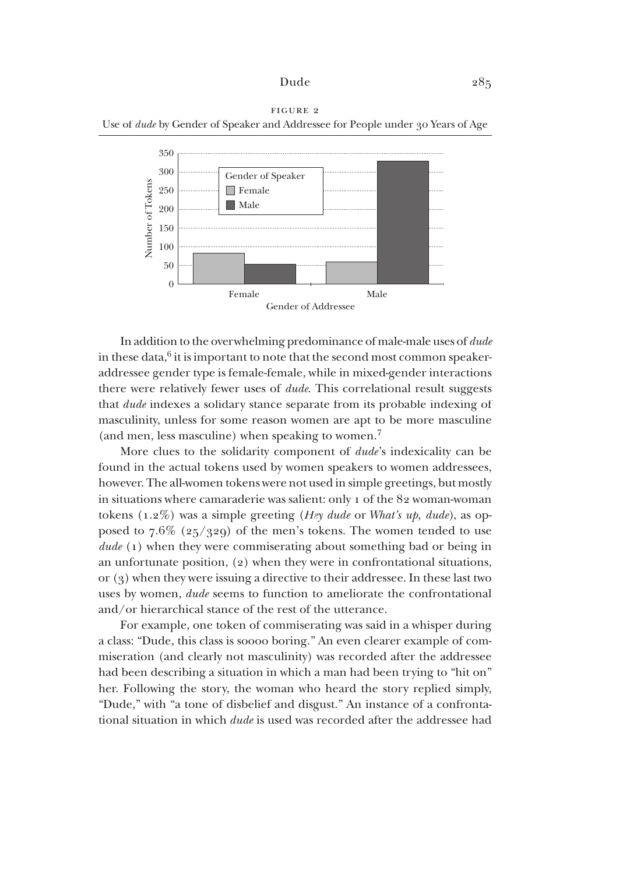



In addition to the overwhelming predominance of male-male uses of *dude* in these data, 6 it is important to note that the second most common speakeraddressee gender type is female-female, while in mixed-gender interactions there were relatively fewer uses of *dude*. This correlational result suggests that *dude* indexes a solidary stance separate from its probable indexing of masculinity, unless for some reason women are apt to be more masculine (and men, less masculine) when speaking to women.<sup>7</sup>

More clues to the solidarity component of *dude*'s indexicality can be found in the actual tokens used by women speakers to women addressees, however. The all-women tokens were not used in simple greetings, but mostly in situations where camaraderie was salient: only 1 of the  $82$  woman-woman tokens (1.2%) was a simple greeting (*Hey dude* or *What's up, dude*), as opposed to  $7.6\%$  (25/329) of the men's tokens. The women tended to use *dude* (1) when they were commiserating about something bad or being in an unfortunate position,  $(2)$  when they were in confrontational situations, or (3) when they were issuing a directive to their addressee. In these last two uses by women, *dude* seems to function to ameliorate the confrontational and/or hierarchical stance of the rest of the utterance.

For example, one token of commiserating was said in a whisper during a class: "Dude, this class is soooo boring." An even clearer example of commiseration (and clearly not masculinity) was recorded after the addressee had been describing a situation in which a man had been trying to "hit on" her. Following the story, the woman who heard the story replied simply, "Dude," with "a tone of disbelief and disgust." An instance of a confrontational situation in which *dude* is used was recorded after the addressee had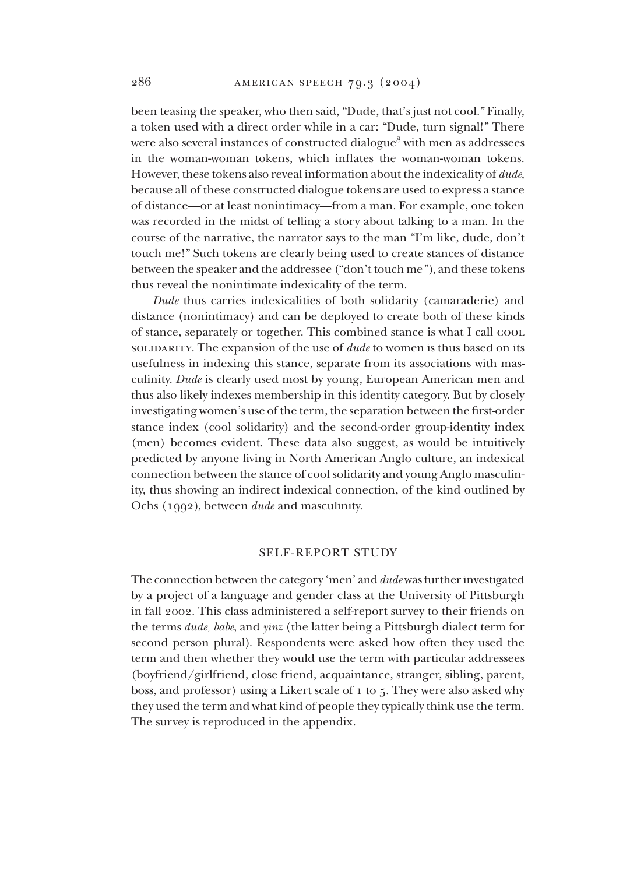been teasing the speaker, who then said, "Dude, that's just not cool." Finally, a token used with a direct order while in a car: "Dude, turn signal!" There were also several instances of constructed dialogue<sup>8</sup> with men as addressees in the woman-woman tokens, which inflates the woman-woman tokens. However, these tokens also reveal information about the indexicality of *dude*, because all of these constructed dialogue tokens are used to express a stance of distance—or at least nonintimacy—from a man. For example, one token was recorded in the midst of telling a story about talking to a man. In the course of the narrative, the narrator says to the man "I'm like, dude, don't touch me!" Such tokens are clearly being used to create stances of distance between the speaker and the addressee ("don't touch me"), and these tokens thus reveal the nonintimate indexicality of the term.

*Dude* thus carries indexicalities of both solidarity (camaraderie) and distance (nonintimacy) and can be deployed to create both of these kinds of stance, separately or together. This combined stance is what I call cool solidary. The expansion of the use of *dude* to women is thus based on its usefulness in indexing this stance, separate from its associations with masculinity. *Dude* is clearly used most by young, European American men and thus also likely indexes membership in this identity category. But by closely investigating women's use of the term, the separation between the first-order stance index (cool solidarity) and the second-order group-identity index (men) becomes evident. These data also suggest, as would be intuitively predicted by anyone living in North American Anglo culture, an indexical connection between the stance of cool solidarity and young Anglo masculinity, thus showing an indirect indexical connection, of the kind outlined by Ochs (1992), between *dude* and masculinity.

# SELF-REPORT STUDY

The connection between the category 'men' and *dude* was further investigated by a project of a language and gender class at the University of Pittsburgh in fall 2002. This class administered a self-report survey to their friends on the terms *dude*, *babe*, and *yinz* (the latter being a Pittsburgh dialect term for second person plural). Respondents were asked how often they used the term and then whether they would use the term with particular addressees (boyfriend/girlfriend, close friend, acquaintance, stranger, sibling, parent, boss, and professor) using a Likert scale of 1 to 5. They were also asked why they used the term and what kind of people they typically think use the term. The survey is reproduced in the appendix.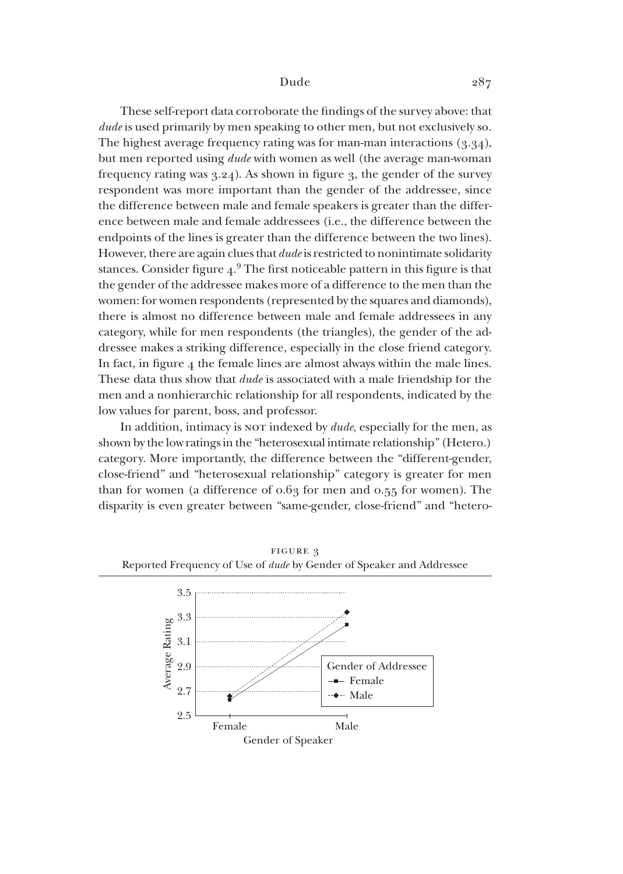These self-report data corroborate the findings of the survey above: that *dude* is used primarily by men speaking to other men, but not exclusively so. The highest average frequency rating was for man-man interactions  $(3.34)$ , but men reported using *dude* with women as well (the average man-woman frequency rating was 3.24). As shown in figure 3, the gender of the survey respondent was more important than the gender of the addressee, since the difference between male and female speakers is greater than the difference between male and female addressees (i.e., the difference between the endpoints of the lines is greater than the difference between the two lines). However, there are again clues that *dude* is restricted to nonintimate solidarity stances. Consider figure  $4.9$  The first noticeable pattern in this figure is that the gender of the addressee makes more of a difference to the men than the women: for women respondents (represented by the squares and diamonds), there is almost no difference between male and female addressees in any category, while for men respondents (the triangles), the gender of the addressee makes a striking difference, especially in the close friend category. In fact, in figure  $4$  the female lines are almost always within the male lines. These data thus show that *dude* is associated with a male friendship for the men and a nonhierarchic relationship for all respondents, indicated by the low values for parent, boss, and professor.

In addition, intimacy is not indexed by *dude*, especially for the men, as shown by the low ratings in the "heterosexual intimate relationship" (Hetero.) category. More importantly, the difference between the "different-gender, close-friend" and "heterosexual relationship" category is greater for men than for women (a difference of 0.63 for men and 0.55 for women). The disparity is even greater between "same-gender, close-friend" and "hetero-



figure 3 Reported Frequency of Use of *dude* by Gender of Speaker and Addressee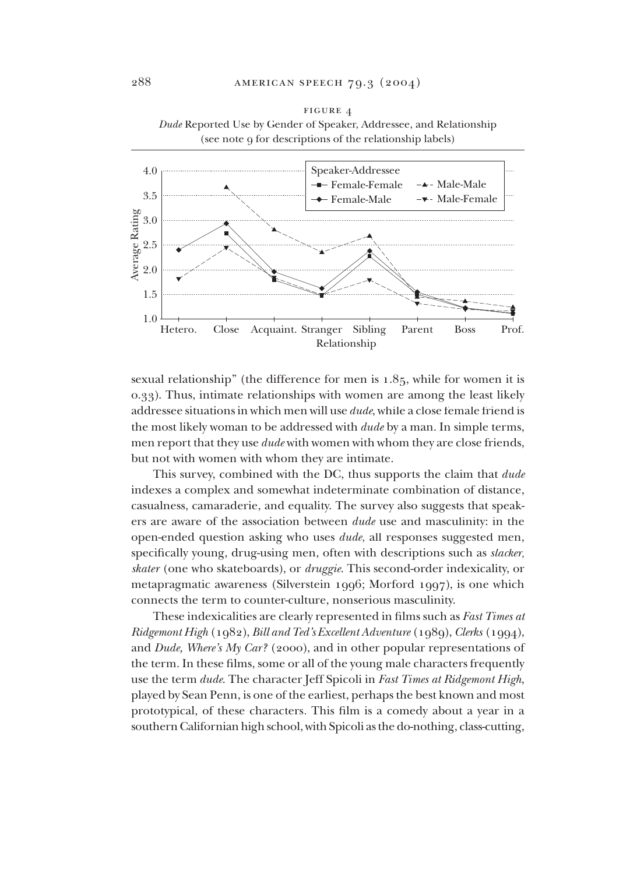

figure 4 *Dude* Reported Use by Gender of Speaker, Addressee, and Relationship

sexual relationship" (the difference for men is  $1.85$ , while for women it is 0.33). Thus, intimate relationships with women are among the least likely addressee situations in which men will use *dude*, while a close female friend is the most likely woman to be addressed with *dude* by a man. In simple terms, men report that they use *dude* with women with whom they are close friends, but not with women with whom they are intimate.

This survey, combined with the DC, thus supports the claim that *dude* indexes a complex and somewhat indeterminate combination of distance, casualness, camaraderie, and equality. The survey also suggests that speakers are aware of the association between *dude* use and masculinity: in the open-ended question asking who uses *dude*, all responses suggested men, specifically young, drug-using men, often with descriptions such as *slacker*, *skater* (one who skateboards), or *druggie*. This second-order indexicality, or metapragmatic awareness (Silverstein 1996; Morford 1997), is one which connects the term to counter-culture, nonserious masculinity.

These indexicalities are clearly represented in films such as *Fast Times at Ridgemont High* (1982), *Bill and Ted's Excellent Adventure* (1989), *Clerks* (1994), and *Dude, Where's My Car?* (2000), and in other popular representations of the term. In these films, some or all of the young male characters frequently use the term *dude*. The character Jeff Spicoli in *Fast Times at Ridgemont High*, played by Sean Penn, is one of the earliest, perhaps the best known and most prototypical, of these characters*.* This film is a comedy about a year in a southern Californian high school, with Spicoli as the do-nothing, class-cutting,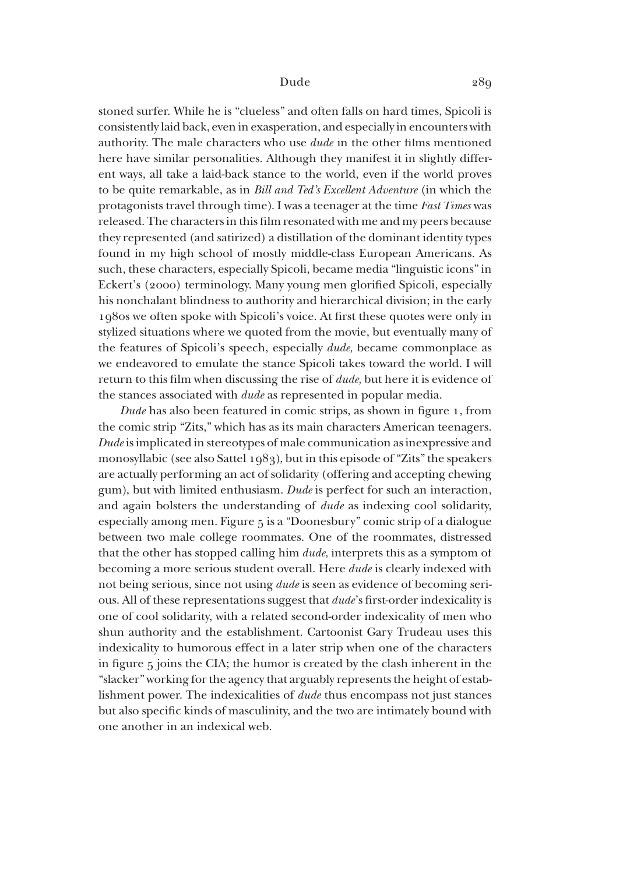stoned surfer. While he is "clueless" and often falls on hard times, Spicoli is consistently laid back, even in exasperation, and especially in encounters with authority. The male characters who use *dude* in the other films mentioned here have similar personalities. Although they manifest it in slightly different ways, all take a laid-back stance to the world, even if the world proves to be quite remarkable, as in *Bill and Ted's Excellent Adventure* (in which the protagonists travel through time). I was a teenager at the time *Fast Times* was released. The characters in this film resonated with me and my peers because they represented (and satirized) a distillation of the dominant identity types found in my high school of mostly middle-class European Americans. As such, these characters, especially Spicoli, became media "linguistic icons" in Eckert's (2000) terminology. Many young men glorified Spicoli, especially his nonchalant blindness to authority and hierarchical division; in the early 1980s we often spoke with Spicoli's voice. At first these quotes were only in stylized situations where we quoted from the movie, but eventually many of the features of Spicoli's speech, especially *dude*, became commonplace as we endeavored to emulate the stance Spicoli takes toward the world. I will return to this film when discussing the rise of *dude*, but here it is evidence of the stances associated with *dude* as represented in popular media.

*Dude* has also been featured in comic strips, as shown in figure 1, from the comic strip "Zits," which has as its main characters American teenagers. *Dude* is implicated in stereotypes of male communication as inexpressive and monosyllabic (see also Sattel 1983), but in this episode of "Zits" the speakers are actually performing an act of solidarity (offering and accepting chewing gum), but with limited enthusiasm. *Dude* is perfect for such an interaction, and again bolsters the understanding of *dude* as indexing cool solidarity, especially among men. Figure 5 is a "Doonesbury" comic strip of a dialogue between two male college roommates. One of the roommates, distressed that the other has stopped calling him *dude*, interprets this as a symptom of becoming a more serious student overall. Here *dude* is clearly indexed with not being serious, since not using *dude* is seen as evidence of becoming serious. All of these representations suggest that *dude*'s first-order indexicality is one of cool solidarity, with a related second-order indexicality of men who shun authority and the establishment. Cartoonist Gary Trudeau uses this indexicality to humorous effect in a later strip when one of the characters in figure 5 joins the CIA; the humor is created by the clash inherent in the "slacker" working for the agency that arguably represents the height of establishment power. The indexicalities of *dude* thus encompass not just stances but also specific kinds of masculinity, and the two are intimately bound with one another in an indexical web.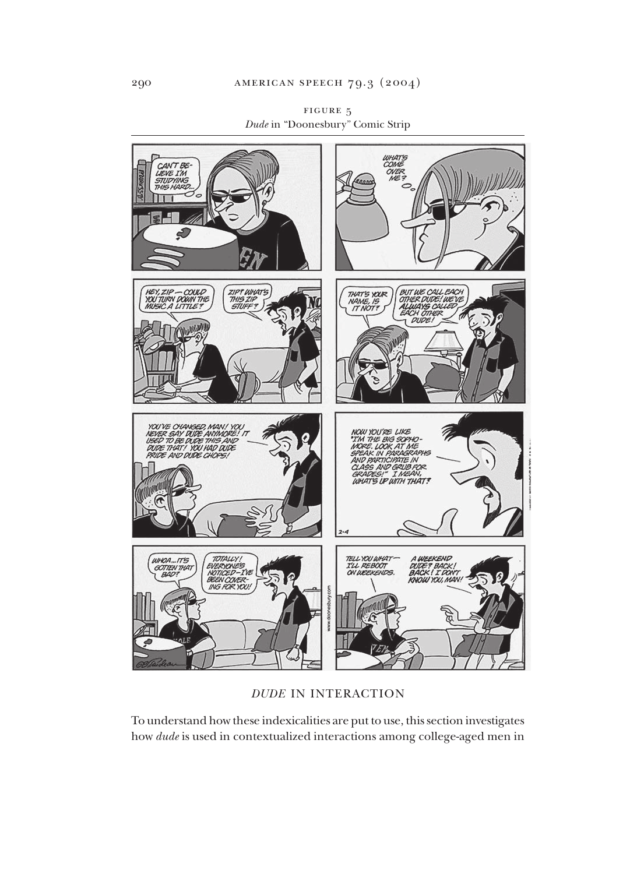

figure 5 *Dude* in "Doonesbury" Comic Strip

*DUDE* IN INTERACTION

To understand how these indexicalities are put to use, this section investigates how *dude* is used in contextualized interactions among college-aged men in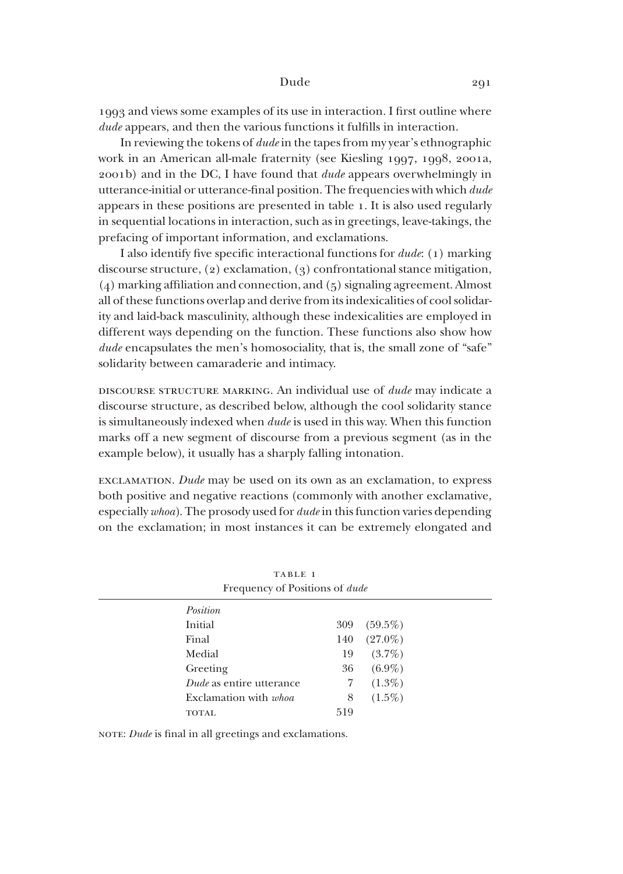1993 and views some examples of its use in interaction. I first outline where *dude* appears, and then the various functions it fulfills in interaction.

In reviewing the tokens of *dude* in the tapes from my year's ethnographic work in an American all-male fraternity (see Kiesling 1997, 1998, 2001a, 2001b) and in the DC, I have found that *dude* appears overwhelmingly in utterance-initial or utterance-final position. The frequencies with which dude appears in these positions are presented in table 1. It is also used regularly in sequential locations in interaction, such as in greetings, leave-takings, the prefacing of important information, and exclamations.

I also identify five specific interactional functions for *dude*: (1) marking discourse structure,  $(2)$  exclamation,  $(3)$  confrontational stance mitigation, (4) marking affiliation and connection, and (5) signaling agreement. Almost all of these functions overlap and derive from its indexicalities of cool solidarity and laid-back masculinity, although these indexicalities are employed in different ways depending on the function. These functions also show how *dude* encapsulates the men's homosociality, that is, the small zone of "safe" solidarity between camaraderie and intimacy.

discourse structure marking. An individual use of *dude* may indicate a discourse structure, as described below, although the cool solidarity stance is simultaneously indexed when *dude* is used in this way. When this function marks off a new segment of discourse from a previous segment (as in the example below), it usually has a sharply falling intonation.

exclamation. *Dude* may be used on its own as an exclamation, to express both positive and negative reactions (commonly with another exclamative, especially *whoa*). The prosody used for *dude* in this function varies depending on the exclamation; in most instances it can be extremely elongated and

| TABLE 1<br>Frequency of Positions of <i>dude</i> |     |            |  |  |  |
|--------------------------------------------------|-----|------------|--|--|--|
| <i>Position</i>                                  |     |            |  |  |  |
| Initial                                          | 309 | $(59.5\%)$ |  |  |  |
| Final                                            | 140 | $(27.0\%)$ |  |  |  |
| Medial                                           | 19  | $(3.7\%)$  |  |  |  |
| Greeting                                         | 36  | $(6.9\%)$  |  |  |  |
| Dude as entire utterance                         | 7   | $(1.3\%)$  |  |  |  |
| Exclamation with <i>whoa</i>                     | 8   | $(1.5\%)$  |  |  |  |
| <b>TOTAL</b>                                     | 519 |            |  |  |  |

NOTE: *Dude* is final in all greetings and exclamations.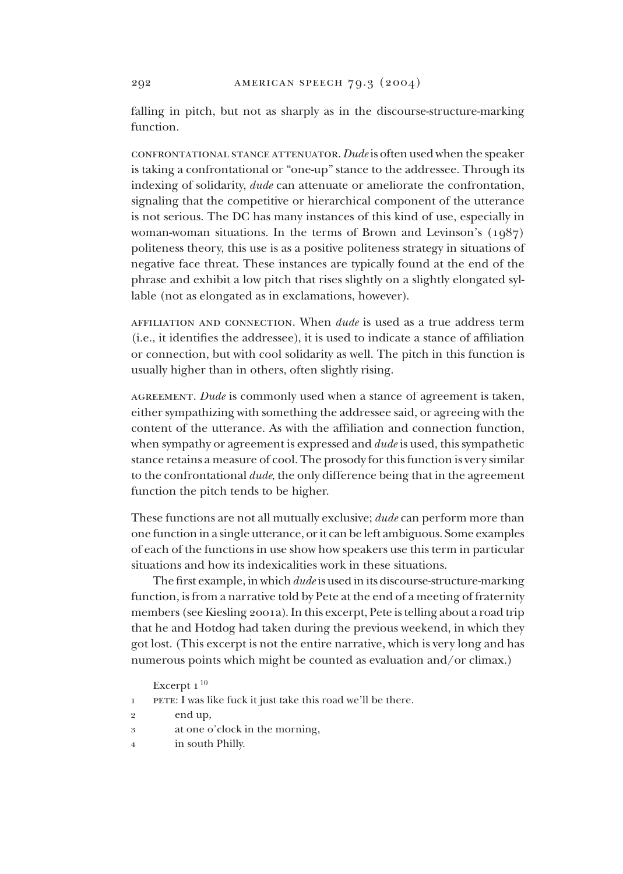falling in pitch, but not as sharply as in the discourse-structure-marking function.

confrontational stance attenuator.*Dude* is often used when the speaker is taking a confrontational or "one-up" stance to the addressee. Through its indexing of solidarity, *dude* can attenuate or ameliorate the confrontation, signaling that the competitive or hierarchical component of the utterance is not serious. The DC has many instances of this kind of use, especially in woman-woman situations. In the terms of Brown and Levinson's (1987) politeness theory, this use is as a positive politeness strategy in situations of negative face threat. These instances are typically found at the end of the phrase and exhibit a low pitch that rises slightly on a slightly elongated syllable (not as elongated as in exclamations, however).

affiliation and connection. When *dude* is used as a true address term (i.e., it identifies the addressee), it is used to indicate a stance of affiliation or connection, but with cool solidarity as well. The pitch in this function is usually higher than in others, often slightly rising.

agreement. *Dude* is commonly used when a stance of agreement is taken, either sympathizing with something the addressee said, or agreeing with the content of the utterance. As with the affiliation and connection function, when sympathy or agreement is expressed and *dude* is used, this sympathetic stance retains a measure of cool. The prosody for this function is very similar to the confrontational *dude*, the only difference being that in the agreement function the pitch tends to be higher.

These functions are not all mutually exclusive; *dude* can perform more than one function in a single utterance, or it can be left ambiguous. Some examples of each of the functions in use show how speakers use this term in particular situations and how its indexicalities work in these situations.

The first example, in which*dude* is used in its discourse-structure-marking function, is from a narrative told by Pete at the end of a meeting of fraternity members (see Kiesling 2001a). In this excerpt, Pete is telling about a road trip that he and Hotdog had taken during the previous weekend, in which they got lost. (This excerpt is not the entire narrative, which is very long and has numerous points which might be counted as evaluation and/or climax.)

Excerpt  $1^{10}$ 

- PETE: I was like fuck it just take this road we'll be there. 1
- end up, 9
- at one o'clock in the morning, 3
- in south Philly. 4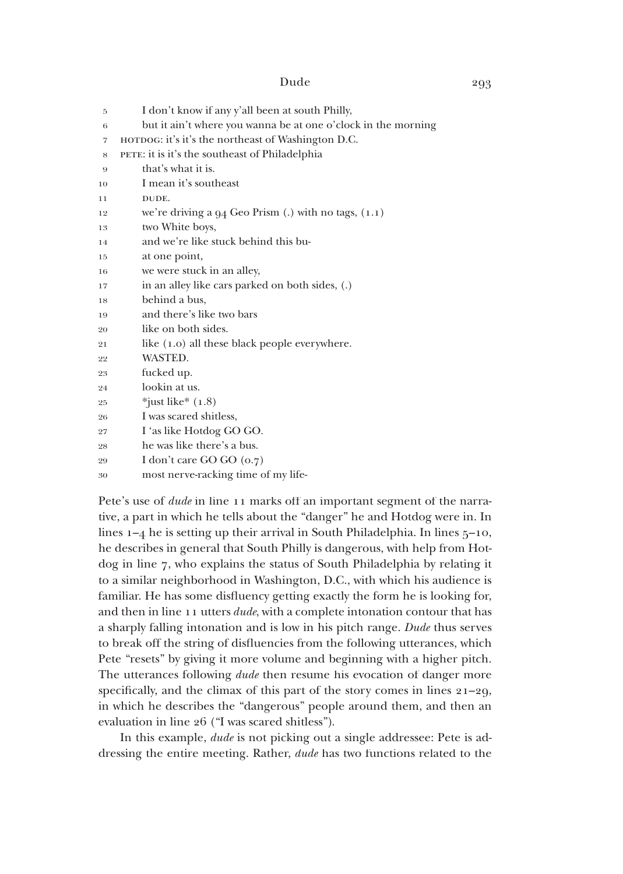| 5              | I don't know if any y'all been at south Philly,               |
|----------------|---------------------------------------------------------------|
| 6              | but it ain't where you wanna be at one o'clock in the morning |
| $\overline{7}$ | нотрос: it's it's the northeast of Washington D.C.            |
| 8              | PETE: it is it's the southeast of Philadelphia                |
| 9              | that's what it is.                                            |
| 10             | I mean it's southeast                                         |
| 11             | DUDE.                                                         |
| 12             | we're driving a $94$ Geo Prism (.) with no tags, $(1.1)$      |
| 13             | two White boys,                                               |
| 14             | and we're like stuck behind this bu-                          |
| 15             | at one point,                                                 |
| 16             | we were stuck in an alley,                                    |
| 17             | in an alley like cars parked on both sides, (.)               |
| 18             | behind a bus,                                                 |
| 19             | and there's like two bars                                     |
| 20             | like on both sides.                                           |
| 21             | like (1.0) all these black people everywhere.                 |
| 22             | WASTED.                                                       |
| 23             | fucked up.                                                    |
| 24             | lookin at us.                                                 |
| 25             | $*$ just like $*(1.8)$                                        |
| 26             | I was scared shitless,                                        |
| 27             | I 'as like Hotdog GO GO.                                      |
| 28             | he was like there's a bus.                                    |
| 29             | I don't care GO GO (0.7)                                      |
| 30             | most nerve-racking time of my life-                           |

Pete's use of *dude* in line 11 marks off an important segment of the narrative, a part in which he tells about the "danger" he and Hotdog were in. In lines  $1-4$  he is setting up their arrival in South Philadelphia. In lines  $5-10$ , he describes in general that South Philly is dangerous, with help from Hotdog in line 7, who explains the status of South Philadelphia by relating it to a similar neighborhood in Washington, D.C., with which his audience is familiar. He has some disfluency getting exactly the form he is looking for, and then in line 11 utters *dude*, with a complete intonation contour that has a sharply falling intonation and is low in his pitch range. *Dude* thus serves to break off the string of disfluencies from the following utterances, which Pete "resets" by giving it more volume and beginning with a higher pitch. The utterances following *dude* then resume his evocation of danger more specifically, and the climax of this part of the story comes in lines 21–29, in which he describes the "dangerous" people around them, and then an evaluation in line 26 ("I was scared shitless").

In this example, *dude* is not picking out a single addressee: Pete is addressing the entire meeting. Rather, *dude* has two functions related to the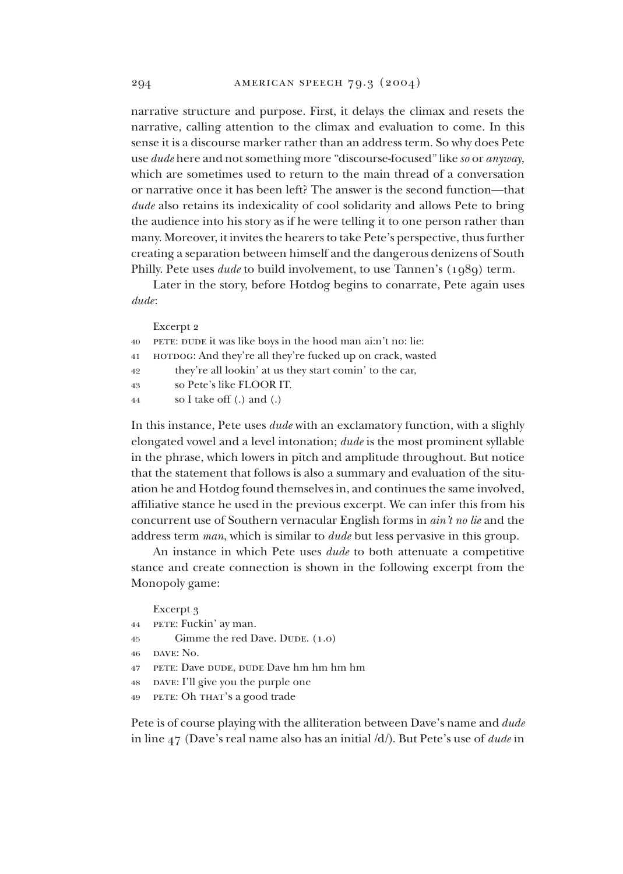narrative structure and purpose. First, it delays the climax and resets the narrative, calling attention to the climax and evaluation to come. In this sense it is a discourse marker rather than an address term. So why does Pete use *dude* here and not something more "discourse-focused" like *so* or *anyway*, which are sometimes used to return to the main thread of a conversation or narrative once it has been left? The answer is the second function—that *dude* also retains its indexicality of cool solidarity and allows Pete to bring the audience into his story as if he were telling it to one person rather than many. Moreover, it invites the hearers to take Pete's perspective, thus further creating a separation between himself and the dangerous denizens of South Philly. Pete uses *dude* to build involvement, to use Tannen's (1989) term.

Later in the story, before Hotdog begins to conarrate, Pete again uses *dude*:

Excerpt 2 pete: dude it was like boys in the hood man ai:n't no: lie: нотро<mark>с: And they're all they're fucked up on crack, wasted</mark> they're all lookin' at us they start comin' to the car, so Pete's like FLOOR IT. so I take off (.) and (.) 404149 4344

In this instance, Pete uses *dude* with an exclamatory function, with a slighly elongated vowel and a level intonation; *dude* is the most prominent syllable in the phrase, which lowers in pitch and amplitude throughout. But notice that the statement that follows is also a summary and evaluation of the situation he and Hotdog found themselves in, and continues the same involved, affiliative stance he used in the previous excerpt. We can infer this from his concurrent use of Southern vernacular English forms in *ain't no lie* and the address term *man*, which is similar to *dude* but less pervasive in this group.

An instance in which Pete uses *dude* to both attenuate a competitive stance and create connection is shown in the following excerpt from the Monopoly game:

Excerpt 3

- PETE: Fuckin' ay man. 44
- Gimme the red Dave. DUDE. (1.0) 45
- dave: No. 46
- pete: Dave dude, dude Dave hm hm hm hm 47
- pave: I'll give you the purple one 48
- PETE: Oh THAT's a good trade 49

Pete is of course playing with the alliteration between Dave's name and *dude* in line 47 (Dave's real name also has an initial /d/). But Pete's use of *dude* in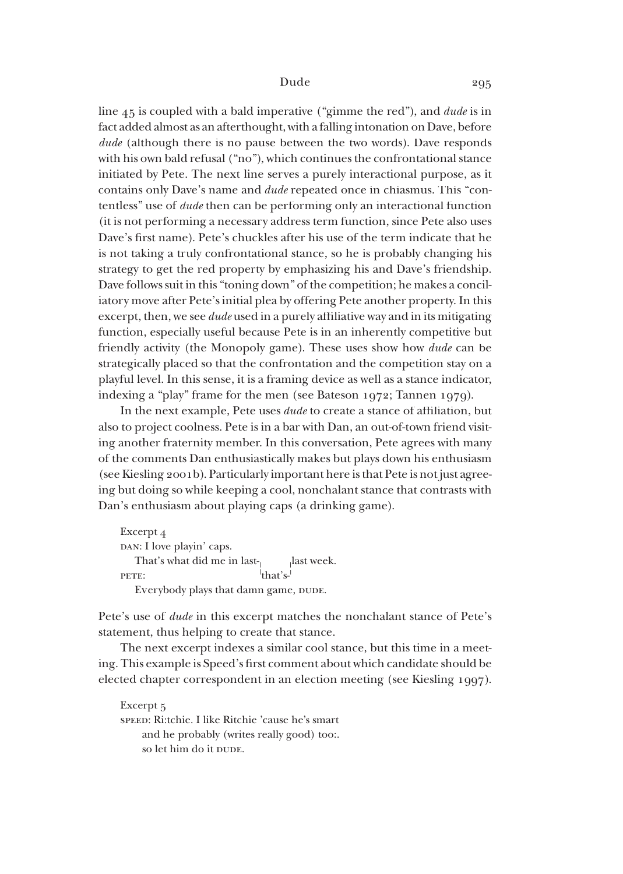line 45 is coupled with a bald imperative ("gimme the red"), and *dude* is in fact added almost as an afterthought, with a falling intonation on Dave, before *dude* (although there is no pause between the two words). Dave responds with his own bald refusal ("no"), which continues the confrontational stance initiated by Pete. The next line serves a purely interactional purpose, as it contains only Dave's name and *dude* repeated once in chiasmus. This "contentless" use of *dude* then can be performing only an interactional function (it is not performing a necessary address term function, since Pete also uses Dave's first name). Pete's chuckles after his use of the term indicate that he is not taking a truly confrontational stance, so he is probably changing his strategy to get the red property by emphasizing his and Dave's friendship. Dave follows suit in this "toning down" of the competition; he makes a conciliatory move after Pete's initial plea by offering Pete another property. In this excerpt, then, we see *dude* used in a purely affiliative way and in its mitigating function, especially useful be cause Pete is in an inherently competitive but friendly activity (the Monopoly game). These uses show how *dude* can be strategically placed so that the confrontation and the competition stay on a playful level. In this sense, it is a framing device as well as a stance indicator, indexing a "play" frame for the men (see Bateson 1972; Tannen 1979).

In the next example, Pete uses *dude* to create a stance of affiliation, but also to project coolness. Pete is in a bar with Dan, an out-of-town friend visiting another fraternity member. In this conversation, Pete agrees with many of the comments Dan enthusiastically makes but plays down his enthusiasm (see Kiesling 2001b). Particularly important here is that Pete is not just agreeing but doing so while keeping a cool, nonchalant stance that contrasts with Dan's enthusiasm about playing caps (a drinking game).

```
Excerpt 4
DAN: I love playin' caps.
That's what did me in last-\begin{bmatrix} 1 & 1 \\ 1 & 1 \end{bmatrix}last week.
pete: |that's-1|Everybody plays that damn game, DUDE.
```
Pete's use of *dude* in this excerpt matches the nonchalant stance of Pete's statement, thus helping to create that stance.

The next excerpt indexes a similar cool stance, but this time in a meeting. This example is Speed's first comment about which candidate should be elected chapter correspondent in an election meeting (see Kiesling 1997).

Excerpt<sub>5</sub> speed: Ri:tchie. I like Ritchie 'cause he's smart and he probably (writes really good) too:. so let him do it DUDE.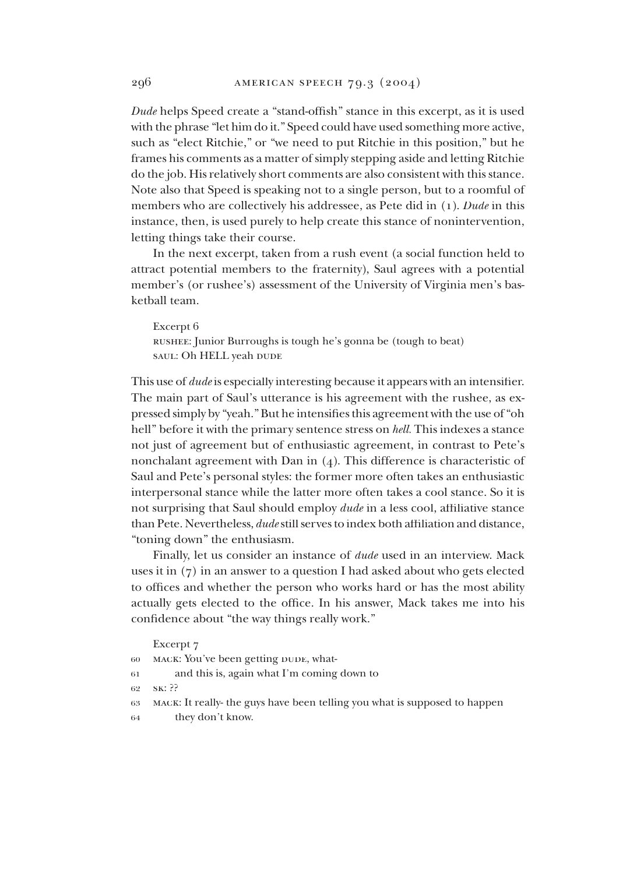*Dude* helps Speed create a "stand-offish" stance in this excerpt, as it is used with the phrase "let him do it." Speed could have used something more active, such as "elect Ritchie," or "we need to put Ritchie in this position," but he frames his comments as a matter of simply stepping aside and letting Ritchie do the job. His relatively short comments are also consistent with this stance. Note also that Speed is speaking not to a single person, but to a roomful of members who are collectively his addressee, as Pete did in (1). *Dude* in this instance, then, is used purely to help create this stance of nonintervention, letting things take their course.

In the next excerpt, taken from a rush event (a social function held to attract potential members to the fraternity), Saul agrees with a potential member's (or rushee's) assessment of the University of Virginia men's basketball team.

Excerpt 6 rushee: Junior Burroughs is tough he's gonna be (tough to beat) saul: Oh HELL yeah DUDE

This use of *dude* is especially interesting because it appears with an intensifier. The main part of Saul's utterance is his agreement with the rushee, as expressed simply by "yeah." But he intensifies this agreement with the use of "oh hell" before it with the primary sentence stress on *hell*. This indexes a stance not just of agreement but of enthusiastic agreement, in contrast to Pete's nonchalant agreement with Dan in  $(4)$ . This difference is characteristic of Saul and Pete's personal styles: the former more often takes an enthusiastic interpersonal stance while the latter more often takes a cool stance. So it is not surprising that Saul should employ *dude* in a less cool, affiliative stance than Pete. Nevertheless, *dude* still serves to index both affiliation and distance, "toning down" the enthusiasm.

Finally, let us consider an instance of *dude* used in an interview. Mack uses it in (7) in an answer to a question I had asked about who gets elected to offices and whether the person who works hard or has the most ability actually gets elected to the office. In his answer, Mack takes me into his confidence about "the way things really work."

|    | Excerpt 7                                                                  |
|----|----------------------------------------------------------------------------|
| 60 | MACK: You've been getting DUDE, what-                                      |
| 61 | and this is, again what I'm coming down to                                 |
|    | 62 SK: ??                                                                  |
| 63 | MACK: It really- the guys have been telling you what is supposed to happen |
| 64 | they don't know.                                                           |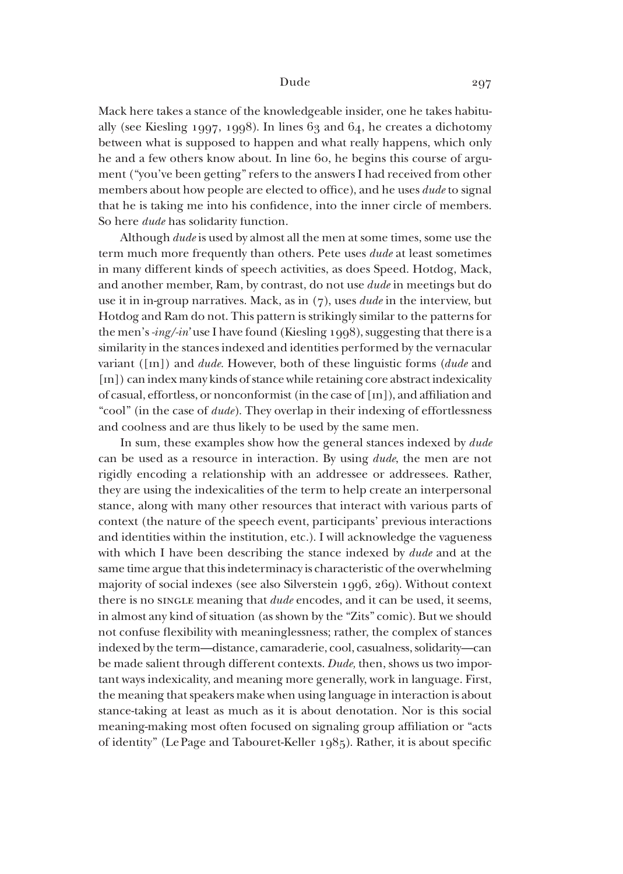Mack here takes a stance of the knowledgeable insider, one he takes habitually (see Kiesling 1997, 1998). In lines  $63$  and  $64$ , he creates a dichotomy between what is supposed to happen and what really happens, which only he and a few others know about. In line 60, he begins this course of argument ("you've been getting" refers to the answers I had received from other members about how people are elected to office), and he uses *dude* to signal that he is taking me into his confidence, into the inner circle of members. So here *dude* has solidarity function.

Although *dude* is used by almost all the men at some times, some use the term much more frequently than others. Pete uses *dude* at least sometimes in many different kinds of speech activities, as does Speed. Hotdog, Mack, and another member, Ram, by contrast, do not use *dude* in meetings but do use it in in-group narratives. Mack, as in (7), uses *dude* in the interview, but Hotdog and Ram do not. This pattern is strikingly similar to the patterns for the men's *-ing/-in*' use I have found (Kiesling 1998), suggesting that there is a similarity in the stances indexed and identities performed by the vernacular variant ([In]) and *dude.* However, both of these linguistic forms (*dude* and [In]) can index many kinds of stance while retaining core abstract indexicality of casual, effortless, or nonconformist (in the case of [In]), and affiliation and "cool" (in the case of *dude*). They overlap in their indexing of effortlessness and coolness and are thus likely to be used by the same men.

In sum, these examples show how the general stances indexed by *dude* can be used as a resource in interaction. By using *dude*, the men are not rigidly encoding a relationship with an addressee or addressees. Rather, they are using the indexicalities of the term to help create an interpersonal stance, along with many other resources that interact with various parts of context (the nature of the speech event, participants' previous interactions and identities within the institution, etc.). I will acknowledge the vagueness with which I have been describing the stance indexed by *dude* and at the same time argue that this indeterminacy is characteristic of the overwhelming majority of social indexes (see also Silverstein 1996, 269). Without context there is no single meaning that *dude* encodes, and it can be used, it seems, in almost any kind of situation (as shown by the "Zits" comic). But we should not confuse flexibility with meaninglessness; rather, the complex of stances indexed by the term—distance, camaraderie, cool, casualness, solidarity—can be made salient through different contexts. *Dude*, then, shows us two important ways indexicality, and meaning more generally, work in language. First, the meaning that speakers make when using language in interaction is about stance-taking at least as much as it is about denotation. Nor is this social meaning-making most often focused on signaling group affiliation or "acts of identity" (Le Page and Tabouret-Keller 1985). Rather, it is about specific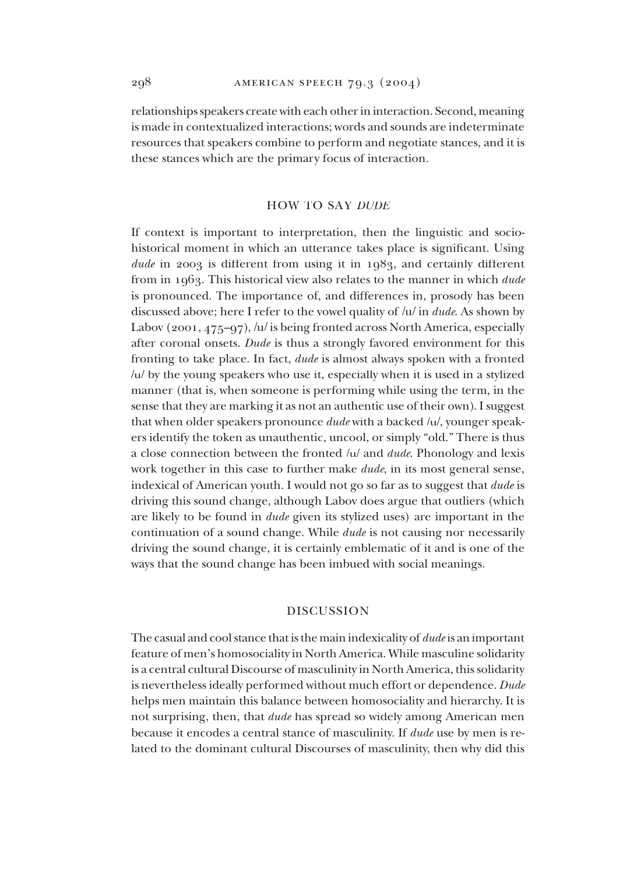relationships speakers create with each other in interaction. Second, meaning is made in contextualized interactions; words and sounds are indeterminate resources that speakers combine to perform and negotiate stances, and it is these stances which are the primary focus of interaction.

## HOW TO SAY *DUDE*

If context is important to interpretation, then the linguistic and sociohistorical moment in which an utterance takes place is significant. Using *dude* in 2003 is different from using it in 1983, and certainly different from in 1963. This historical view also relates to the manner in which *dude* is pronounced. The importance of, and differences in, prosody has been discussed above; here I refer to the vowel quality of /u/ in *dude*. As shown by Labov (2001, 475–97), /u/ is being fronted across North America, especially after coronal onsets. *Dude* is thus a strongly favored environment for this fronting to take place. In fact, *dude* is almost always spoken with a fronted /u/ by the young speakers who use it, especially when it is used in a stylized manner (that is, when someone is performing while using the term, in the sense that they are marking it as not an authentic use of their own). I suggest that when older speakers pronounce *dude* with a backed /u/, younger speakers identify the token as unauthentic, uncool, or simply "old." There is thus a close connection between the fronted /u/ and *dude*. Phonology and lexis work together in this case to further make *dude*, in its most general sense, indexical of American youth. I would not go so far as to suggest that *dude* is driving this sound change, although Labov does argue that outliers (which are likely to be found in *dude* given its stylized uses) are important in the continuation of a sound change. While *dude* is not causing nor necessarily driving the sound change, it is certainly emblematic of it and is one of the ways that the sound change has been imbued with social meanings.

# DISCUSSION

The casual and cool stance that is the main indexicality of *dude* is an important feature of men's homosociality in North America. While masculine solidarity is a central cultural Discourse of masculinity in North America, this solidarity is nevertheless ideally performed without much effort or dependence. *Dude* helps men maintain this balance between homosociality and hierarchy. It is not surprising, then, that *dude* has spread so widely among American men because it encodes a central stance of masculinity. If *dude* use by men is related to the dominant cultural Discourses of masculinity, then why did this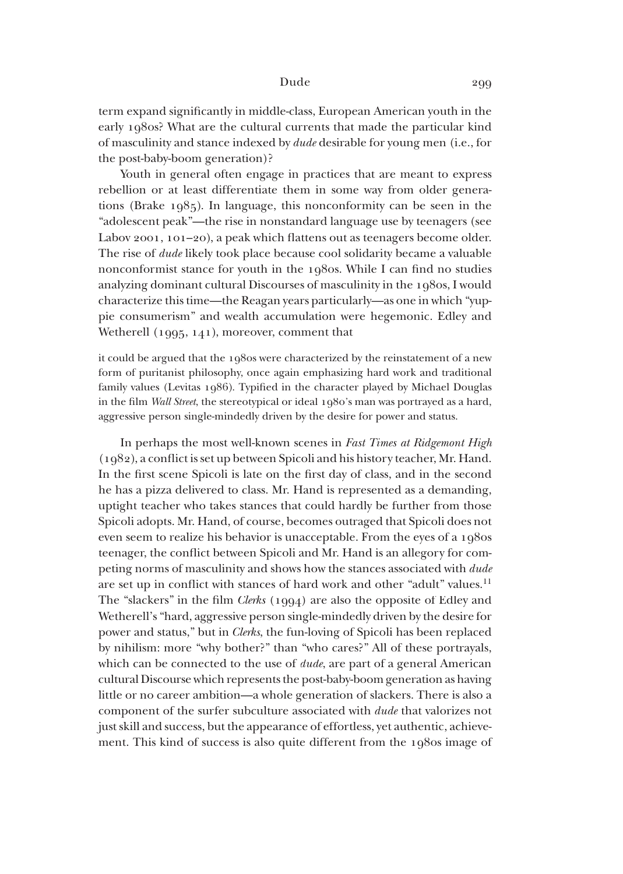term expand significantly in middle-class, European American youth in the early 1980s? What are the cultural currents that made the particular kind of masculinity and stance indexed by *dude* desirable for young men (i.e., for the post-baby-boom generation)?

Youth in general often engage in practices that are meant to express rebellion or at least differentiate them in some way from older generations (Brake 1985). In language, this nonconformity can be seen in the "adolescent peak"—the rise in nonstandard language use by teenagers (see Labov 2001, 101–20), a peak which flattens out as teenagers become older. The rise of *dude* likely took place because cool solidarity became a valuable non conform ist stance for youth in the 1980s. While I can find no studies analyzing dominant cultural Discourses of masculinity in the 1980s, I would char acterize this time—the Reagan years particularly—as one in which "yuppie consumerism" and wealth accumulation were hegemonic. Edley and Wetherell (1995, 141), moreover, comment that

it could be argued that the  $1980$ s were characterized by the reinstatement of a new form of puritanist philosophy, once again emphasizing hard work and traditional family values (Levitas 1986). Typified in the character played by Michael Douglas in the film *Wall Street*, the stereotypical or ideal 1980's man was portrayed as a hard, aggressive person single-mindedly driven by the desire for power and status.

In perhaps the most well-known scenes in *Fast Times at Ridgemont High* (1982), a conflict is set up between Spicoli and his history teacher, Mr. Hand. In the first scene Spicoli is late on the first day of class, and in the second he has a pizza delivered to class. Mr. Hand is represented as a demanding, uptight teacher who takes stances that could hardly be further from those Spicoli adopts. Mr. Hand, of course, becomes outraged that Spicoli does not even seem to realize his behavior is unacceptable. From the eyes of a 1980s teenager, the conflict between Spicoli and Mr. Hand is an allegory for competing norms of masculinity and shows how the stances associated with *dude* are set up in conflict with stances of hard work and other "adult" values.<sup>11</sup> The "slackers" in the film *Clerks* (1994) are also the opposite of Edley and Wetherell's "hard, aggressive person single-mindedly driven by the desire for power and status," but in *Clerks*, the fun-loving of Spicoli has been replaced by nihilism: more "why bother?" than "who cares?" All of these portrayals, which can be connected to the use of *dude*, are part of a general American cultural Discourse which represents the post-baby-boom generation as having little or no career ambition—a whole generation of slackers. There is also a component of the surfer subculture associated with *dude* that valorizes not just skill and success, but the appearance of effortless, yet authentic, achievement. This kind of success is also quite different from the 1980s image of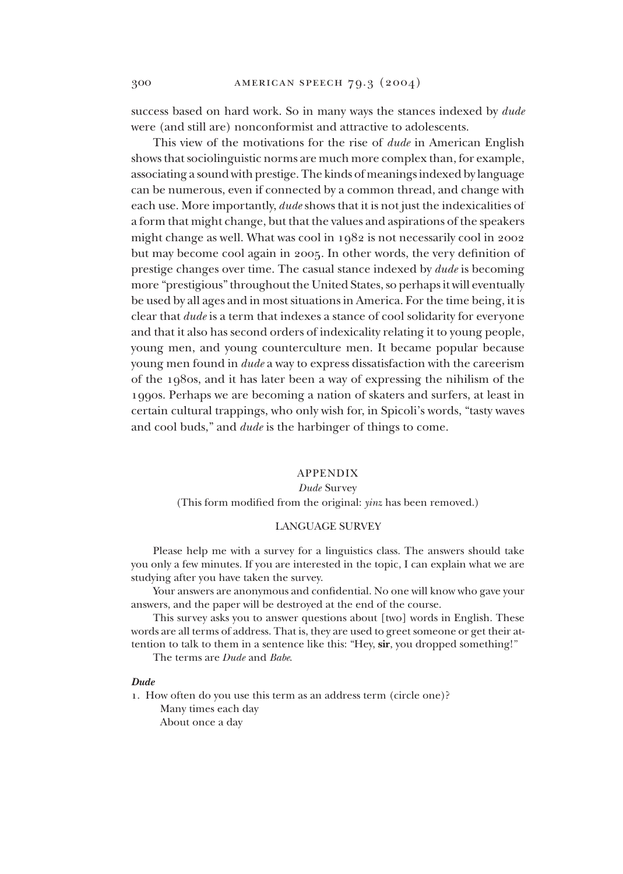success based on hard work. So in many ways the stances indexed by *dude* were (and still are) nonconformist and attractive to adolescents.

This view of the motivations for the rise of *dude* in American English shows that sociolinguistic norms are much more complex than, for example, associating a sound with prestige. The kinds of meanings indexed by language can be numerous, even if connected by a common thread, and change with each use. More importantly, *dude* shows that it is not just the indexicalities of a form that might change, but that the values and aspirations of the speakers might change as well. What was cool in 1982 is not necessarily cool in 2002 but may become cool again in 2005. In other words, the very definition of prestige changes over time. The casual stance indexed by *dude* is becoming more "prestigious" throughout the United States, so perhaps it will eventually be used by all ages and in most situations in America. For the time being, it is clear that *dude* is a term that indexes a stance of cool solidarity for everyone and that it also has second orders of indexicality relating it to young people, young men, and young counterculture men. It became popular because young men found in *dude* a way to express dissatisfaction with the careerism of the 1980s, and it has later been a way of expressing the nihilism of the 1990s. Perhaps we are becoming a nation of skaters and surfers, at least in certain cultural trappings, who only wish for, in Spicoli's words, "tasty waves and cool buds," and *dude* is the harbinger of things to come.

## APPENDIX

#### *Dude* Survey

(This form modified from the original: *yinz* has been removed.)

#### LANGUAGE SURVEY

Please help me with a survey for a linguistics class. The answers should take you only a few minutes. If you are interested in the topic, I can explain what we are studying after you have taken the survey.

Your answers are anonymous and confidential. No one will know who gave your answers, and the paper will be destroyed at the end of the course.

This survey asks you to answer questions about [two] words in English. These words are all terms of address. That is, they are used to greet someone or get their attention to talk to them in a sentence like this: "Hey, **sir**, you dropped something!"

The terms are *Dude* and *Babe*.

#### *Dude*

1. How often do you use this term as an address term (circle one)? Many times each day

About once a day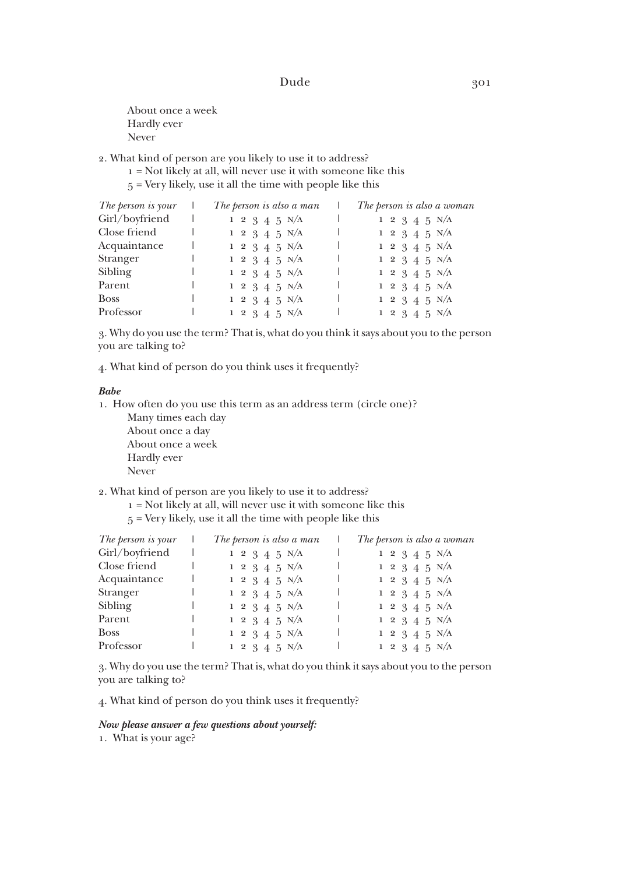- About once a week Hardly ever Never
- 2. What kind of person are you likely to use it to address?
	- 1 = Not likely at all, will never use it with someone like this
	- 5 = Very likely, use it all the time with people like this

| The person is your | The person is also a man   | The person is also a woman     |
|--------------------|----------------------------|--------------------------------|
| Girl/boyfriend     | $1 \t2 \t3 \t4 \t5 \t N/A$ | $1\ 2\ 3\ 4\ 5\ N/A$           |
| Close friend       | $1 \t2 \t3 \t4 \t5 \t N/A$ | $1\ 2\ 3\ 4\ 5\ N/A$           |
| Acquaintance       | $1 \t2 \t3 \t4 \t5 \t N/A$ | $1\;\;2\;\;3\;\;4\;\;5\;\;N/A$ |
| Stranger           | $1 \t2 \t3 \t4 \t5 \t N/A$ | $1\ 2\ 3\ 4\ 5\ N/A$           |
| Sibling            | $1 \t2 \t3 \t4 \t5 \t N/A$ | $1 \t2 \t3 \t4 \t5 \t N/A$     |
| Parent             | $1 \t2 \t3 \t4 \t5 \t N/A$ | $1 \t2 \t3 \t4 \t5 \t N/A$     |
| <b>Boss</b>        | $1 \t2 \t3 \t4 \t5 \t N/A$ | $1 \t2 \t3 \t4 \t5 \t N/A$     |
| Professor          | $1\ 2\ 3\ 4\ 5\ N/A$       | $1 \t2 \t3 \t4 \t5 \t N/A$     |

3. Why do you use the term? That is, what do you think it says about you to the person you are talking to?

4. What kind of person do you think uses it frequently?

#### *Babe*

1. How often do you use this term as an address term (circle one)?

 Many times each day About once a day About once a week Hardly ever Never

#### 2. What kind of person are you likely to use it to address?

- 1 = Not likely at all, will never use it with someone like this
- 5 = Very likely, use it all the time with people like this

| The person is your | The person is also a man       | The person is also a woman |
|--------------------|--------------------------------|----------------------------|
| Girl/boyfriend     | $1 \t2 \t3 \t4 \t5 \t N/A$     | $1 \t2 \t3 \t4 \t5 \t N/A$ |
| Close friend       | $1 \t2 \t3 \t4 \t5 \t N/A$     | $1\ 2\ 3\ 4\ 5\ N/A$       |
| Acquaintance       | $1 \t2 \t3 \t4 \t5 \t N/A$     | $1 \t2 \t3 \t4 \t5 \t N/A$ |
| Stranger           | $1 \t2 \t3 \t4 \t5 \t N/A$     | $1\ 2\ 3\ 4\ 5\ N/A$       |
| Sibling            | $1 \t2 \t3 \t4 \t5 \t N/A$     | $1\ 2\ 3\ 4\ 5\ N/A$       |
| Parent             | $1 \t2 \t3 \t4 \t5 \t N/A$     | $1\;2\;3\;4\;5\;N/A$       |
| <b>Boss</b>        | $1\;\;2\;\;3\;\;4\;\;5\;\;N/A$ | $1 \t2 \t3 \t4 \t5 \t N/A$ |
| Professor          | $1\ 2\ 3\ 4\ 5\ N/A$           | $1\ 2\ 3\ 4\ 5\ N/A$       |

3. Why do you use the term? That is, what do you think it says about you to the person you are talking to?

4. What kind of person do you think uses it frequently?

#### *Now please answer a few questions about yourself:*

1. What is your age?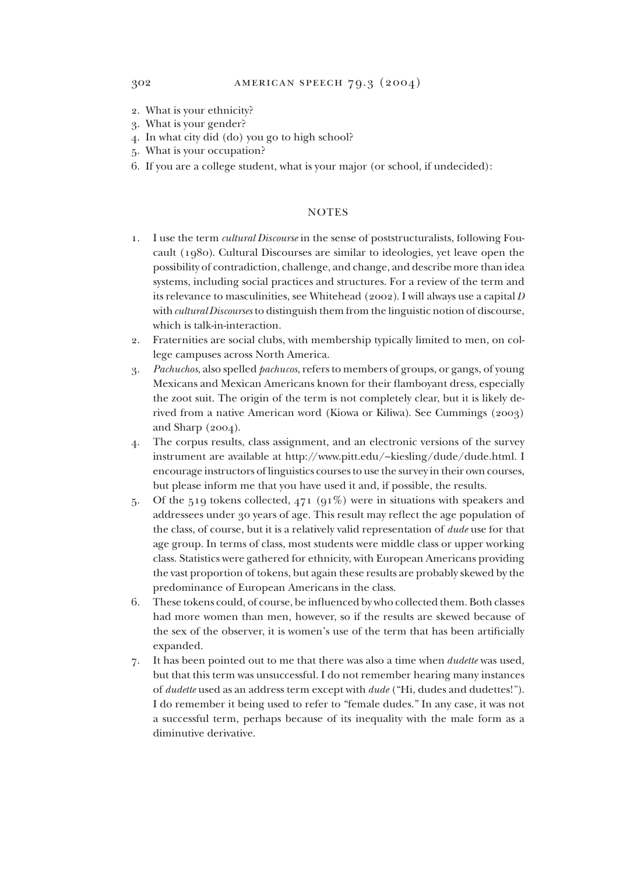- 2. What is your ethnicity?
- 3. What is your gender?
- 4. In what city did (do) you go to high school?
- 5. What is your occupation?
- 6. If you are a college student, what is your major (or school, if undecided):

#### **NOTES**

- 1. I use the term *cultural Discourse* in the sense of poststructuralists, following Foucault (1980). Cultural Discourses are similar to ideologies, yet leave open the possibility of contradiction, challenge, and change, and describe more than idea systems, including social practices and structures. For a review of the term and its relevance to masculinities, see Whitehead (2002). I will always use a capital *D* with *cultural Discourses* to distinguish them from the linguistic notion of discourse, which is talk-in-interaction.
- 2. Fraternities are social clubs, with membership typically limited to men, on college campuses across North America.
- 3. *Pachuchos*, also spelled *pachucos*, refers to members of groups, or gangs, of young Mexicans and Mexican Americans known for their flamboyant dress, especially the zoot suit. The origin of the term is not completely clear, but it is likely derived from a native American word (Kiowa or Kiliwa). See Cummings (2003) and Sharp (2004).
- 4. The corpus results, class assignment, and an electronic versions of the survey instrument are available at http://www.pitt.edu/~kiesling/dude/dude.html. I encourage instructors of linguistics courses to use the survey in their own courses, but please inform me that you have used it and, if possible, the results.
- 5. Of the 519 tokens collected,  $471$  ( $91\%$ ) were in situations with speakers and addressees under 30 years of age. This result may reflect the age population of the class, of course, but it is a relatively valid representation of *dude* use for that age group. In terms of class, most students were middle class or upper working class. Statistics were gathered for ethnicity, with European Americans providing the vast proportion of tokens, but again these results are probably skewed by the predominance of European Americans in the class.
- 6. These tokens could, of course, be influenced by who collected them. Both classes had more women than men, however, so if the results are skewed because of the sex of the observer, it is women's use of the term that has been artificially expanded.
- 7. It has been pointed out to me that there was also a time when *dudette* was used, but that this term was unsuccessful. I do not remember hearing many instances of *dudette* used as an address term except with *dude* ("Hi, dudes and dudettes!"). I do remember it being used to refer to "female dudes." In any case, it was not a successful term, perhaps because of its inequality with the male form as a diminutive derivative.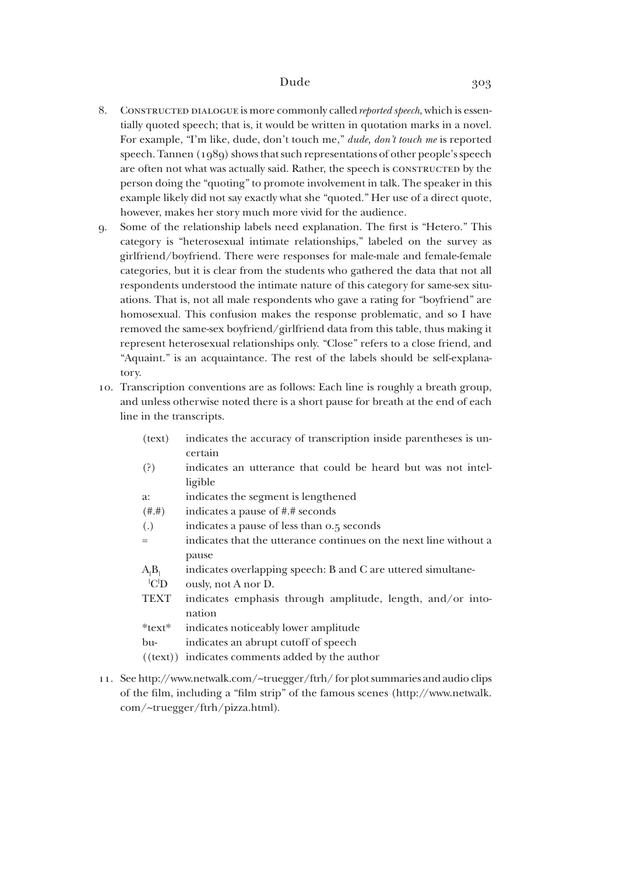- 8. CONSTRUCTED DIALOGUE is more commonly called *reported speech*, which is essentially quoted speech; that is, it would be written in quotation marks in a novel. For example, "I'm like, dude, don't touch me," *dude, don't touch me* is reported speech. Tannen (1989) shows that such representations of other people's speech are often not what was actually said. Rather, the speech is constructed by the person doing the "quoting" to promote involvement in talk. The speaker in this example likely did not say exactly what she "quoted." Her use of a direct quote, however, makes her story much more vivid for the audience.
- 9. Some of the relationship labels need explanation. The first is "Hetero." This category is "heterosexual intimate relationships," labeled on the survey as girlfriend/boyfriend. There were responses for male-male and female-female categories, but it is clear from the students who gathered the data that not all respondents understood the intimate nature of this category for same-sex situations. That is, not all male respondents who gave a rating for "boyfriend" are homosexual. This confusion makes the response problematic, and so I have removed the same-sex boyfriend/girlfriend data from this table, thus making it represent heterosexual relationships only. "Close" refers to a close friend, and "Aquaint." is an acquaintance. The rest of the labels should be self-explanatory.
- 10. Transcription conventions are as follows: Each line is roughly a breath group, and unless otherwise noted there is a short pause for breath at the end of each line in the transcripts.
	- (text) indicates the accuracy of transcription inside parentheses is uncertain
	- (?) indicates an utterance that could be heard but was not intelligible
	- a: indicates the segment is lengthened
	- (#.#) indicates a pause of #.# seconds
	- (.) indicates a pause of less than 0.5 seconds
	- = indicates that the utterance continues on the next line without a pause
	- $A_1B_1$ indicates overlapping speech: B and C are uttered simultane-
	- $|C|$ ously, not A nor D.
	- TEXT indicates emphasis through amplitude, length, and/or intonation
	- \*text\* indicates noticeably lower amplitude
	- bu- indicates an abrupt cutoff of speech
	- ((text)) indicates comments added by the author
- 11. See http://www.netwalk.com/~truegger/ftrh/ for plot summaries and audio clips of the film, including a "film strip" of the famous scenes (http://www.netwalk. com/~truegger/ftrh/pizza.html).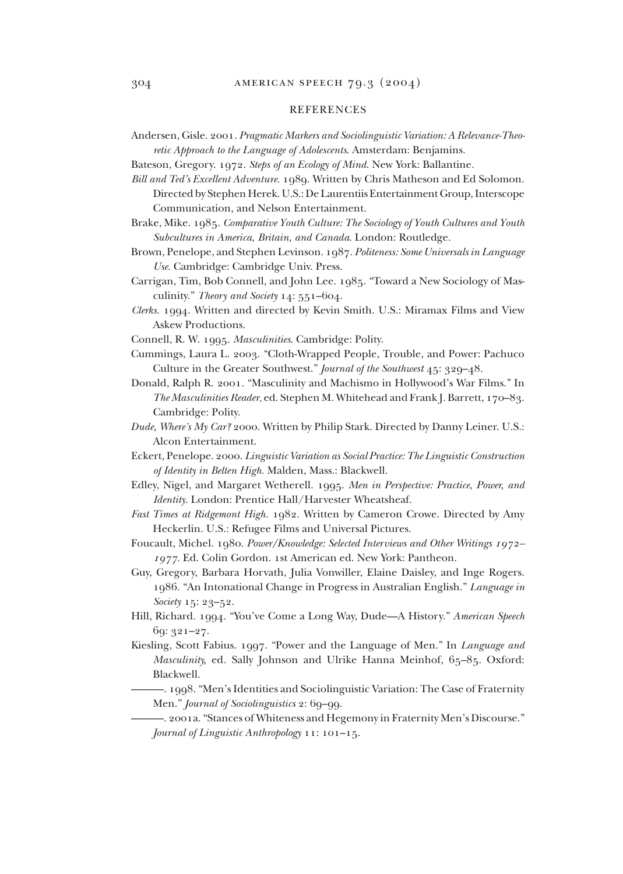## REFERENCES

- Andersen, Gisle. 2001. *Pragmatic Markers and Sociolinguistic Variation: A Relevance-Theoretic Approach to the Language of Adolescents*. Amsterdam: Benjamins.
- Bateson, Gregory. 1972. *Steps of an Ecology of Mind*. New York: Ballantine.
- *Bill and Ted's Excellent Adventure.* 1989. Written by Chris Matheson and Ed Solomon. Directed by Stephen Herek. U.S.: De Laurentiis Entertainment Group, Interscope Communication, and Nelson Entertainment.
- Brake, Mike. 1985. *Comparative Youth Culture: The Sociology of Youth Cultures and Youth Subcultures in America, Britain, and Canada*. London: Routledge.
- Brown, Penelope, and Stephen Levinson. 1987. *Politeness: Some Universals in Lan guage Use*. Cambridge: Cam bridge Univ. Press.
- Carrigan, Tim, Bob Connell, and John Lee. 1985. "Toward a New Sociology of Masculinity." *Theory and Society* 14: 551–604.
- *Clerks.* 1994. Written and directed by Kevin Smith. U.S.: Miramax Films and View Askew Productions.
- Connell, R. W. 1995. *Masculinities*. Cambridge: Polity.
- Cummings, Laura L. 2003. "Cloth-Wrapped People, Trouble, and Power: Pachuco Culture in the Greater Southwest." *Journal of the Southwest* 45: 329–48.
- Donald, Ralph R. 2001. "Masculinity and Machismo in Hollywood's War Films." In *The Masculinities Reader*, ed. Stephen M. Whitehead and Frank J. Barrett, 170–83. Cambridge: Polity.
- *Dude, Where's My Car?* 2000. Written by Philip Stark. Directed by Danny Leiner. U.S.: Alcon Entertainment.
- Eckert, Penelope. 2000. *Linguistic Variation as Social Practice: The Linguistic Construction of Identity in Belten High.* Malden, Mass.: Blackwell.
- Edley, Nigel, and Margaret Wetherell. 1995. *Men in Perspective: Practice, Power, and Identity*. London: Prentice Hall/Harvester Wheatsheaf.
- *Fast Times at Ridgemont High.* 1982. Written by Cameron Crowe. Directed by Amy Heckerlin. U.S.: Refugee Films and Universal Pictures.
- Foucault, Michel. 1980. *Power/Knowledge: Selected Interviews and Other Writings 1972– 1977*. Ed. Colin Gordon. 1st American ed. New York: Pantheon.
- Guy, Gregory, Barbara Horvath, Julia Vonwiller, Elaine Daisley, and Inge Rogers. 1986. "An Intonational Change in Progress in Australian English." *Language in Society* 15: 23–52.
- Hill, Richard. 1994. "You've Come a Long Way, Dude—A History." *American Speech* 69: 321–27.
- Kiesling, Scott Fabius. 1997. "Power and the Language of Men." In *Language and Masculinity, ed. Sally Johnson and Ulrike Hanna Meinhof, 65-85. Oxford:* Blackwell.
	- —. 1998. "Men's Identities and Sociolinguistic Variation: The Case of Fraternity Men." *Journal of Sociolinguistics* 2: 69–99.
	- . 2001a. "Stances of Whiteness and Hegemony in Fraternity Men's Discourse." *Journal of Linguistic Anthropology* 11: 101–15.